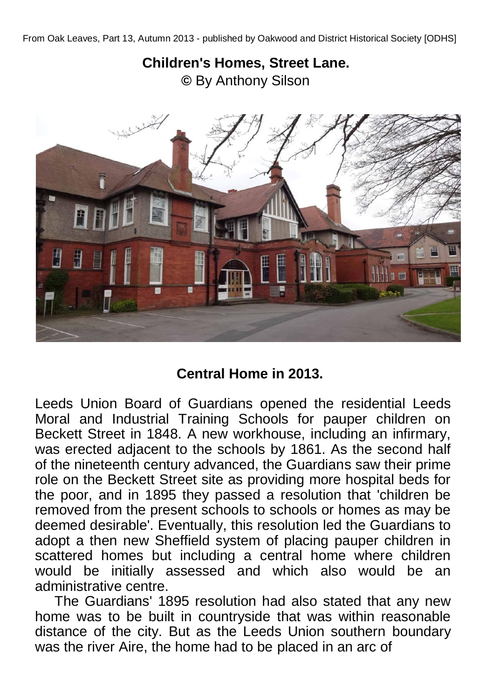## **Children's Homes, Street Lane. ©** By Anthony Silson



## **Central Home in 2013.**

Leeds Union Board of Guardians opened the residential Leeds Moral and Industrial Training Schools for pauper children on Beckett Street in 1848. A new workhouse, including an infirmary, was erected adjacent to the schools by 1861. As the second half of the nineteenth century advanced, the Guardians saw their prime role on the Beckett Street site as providing more hospital beds for the poor, and in 1895 they passed a resolution that 'children be removed from the present schools to schools or homes as may be deemed desirable'. Eventually, this resolution led the Guardians to adopt a then new Sheffield system of placing pauper children in scattered homes but including a central home where children would be initially assessed and which also would be an administrative centre.

 The Guardians' 1895 resolution had also stated that any new home was to be built in countryside that was within reasonable distance of the city. But as the Leeds Union southern boundary was the river Aire, the home had to be placed in an arc of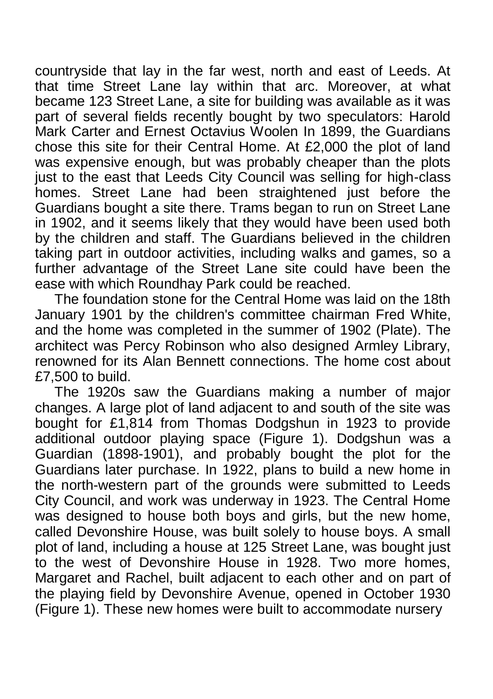countryside that lay in the far west, north and east of Leeds. At that time Street Lane lay within that arc. Moreover, at what became 123 Street Lane, a site for building was available as it was part of several fields recently bought by two speculators: Harold Mark Carter and Ernest Octavius Woolen In 1899, the Guardians chose this site for their Central Home. At £2,000 the plot of land was expensive enough, but was probably cheaper than the plots just to the east that Leeds City Council was selling for high-class homes. Street Lane had been straightened just before the Guardians bought a site there. Trams began to run on Street Lane in 1902, and it seems likely that they would have been used both by the children and staff. The Guardians believed in the children taking part in outdoor activities, including walks and games, so a further advantage of the Street Lane site could have been the ease with which Roundhay Park could be reached.

The foundation stone for the Central Home was laid on the 18th January 1901 by the children's committee chairman Fred White, and the home was completed in the summer of 1902 (Plate). The architect was Percy Robinson who also designed Armley Library, renowned for its Alan Bennett connections. The home cost about £7,500 to build.

 The 1920s saw the Guardians making a number of major changes. A large plot of land adjacent to and south of the site was bought for £1,814 from Thomas Dodgshun in 1923 to provide additional outdoor playing space (Figure 1). Dodgshun was a Guardian (1898-1901), and probably bought the plot for the Guardians later purchase. In 1922, plans to build a new home in the north-western part of the grounds were submitted to Leeds City Council, and work was underway in 1923. The Central Home was designed to house both boys and girls, but the new home, called Devonshire House, was built solely to house boys. A small plot of land, including a house at 125 Street Lane, was bought just to the west of Devonshire House in 1928. Two more homes, Margaret and Rachel, built adjacent to each other and on part of the playing field by Devonshire Avenue, opened in October 1930 (Figure 1). These new homes were built to accommodate nursery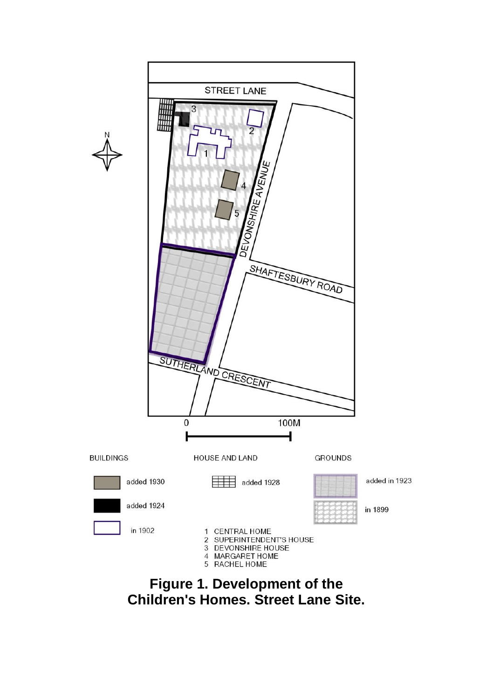

**Figure 1. Development of the Children's Homes. Street Lane Site.**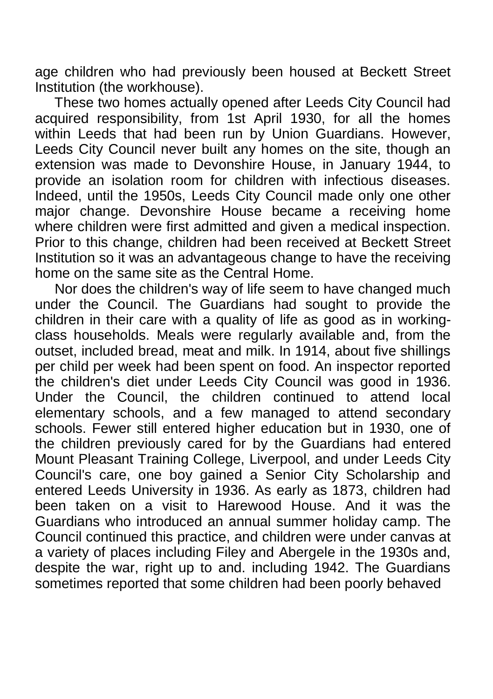age children who had previously been housed at Beckett Street Institution (the workhouse).

 These two homes actually opened after Leeds City Council had acquired responsibility, from 1st April 1930, for all the homes within Leeds that had been run by Union Guardians. However, Leeds City Council never built any homes on the site, though an extension was made to Devonshire House, in January 1944, to provide an isolation room for children with infectious diseases. Indeed, until the 1950s, Leeds City Council made only one other major change. Devonshire House became a receiving home where children were first admitted and given a medical inspection. Prior to this change, children had been received at Beckett Street Institution so it was an advantageous change to have the receiving home on the same site as the Central Home.

 Nor does the children's way of life seem to have changed much under the Council. The Guardians had sought to provide the children in their care with a quality of life as good as in workingclass households. Meals were regularly available and, from the outset, included bread, meat and milk. In 1914, about five shillings per child per week had been spent on food. An inspector reported the children's diet under Leeds City Council was good in 1936. Under the Council, the children continued to attend local elementary schools, and a few managed to attend secondary schools. Fewer still entered higher education but in 1930, one of the children previously cared for by the Guardians had entered Mount Pleasant Training College, Liverpool, and under Leeds City Council's care, one boy gained a Senior City Scholarship and entered Leeds University in 1936. As early as 1873, children had been taken on a visit to Harewood House. And it was the Guardians who introduced an annual summer holiday camp. The Council continued this practice, and children were under canvas at a variety of places including Filey and Abergele in the 1930s and, despite the war, right up to and. including 1942. The Guardians sometimes reported that some children had been poorly behaved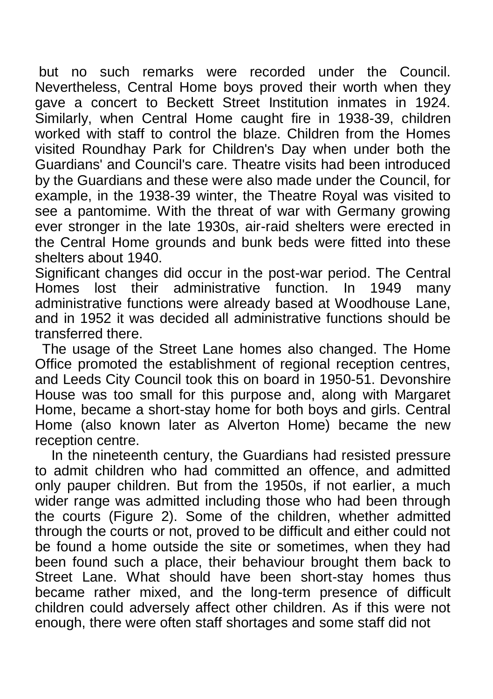but no such remarks were recorded under the Council. Nevertheless, Central Home boys proved their worth when they gave a concert to Beckett Street Institution inmates in 1924. Similarly, when Central Home caught fire in 1938-39, children worked with staff to control the blaze. Children from the Homes visited Roundhay Park for Children's Day when under both the Guardians' and Council's care. Theatre visits had been introduced by the Guardians and these were also made under the Council, for example, in the 1938-39 winter, the Theatre Royal was visited to see a pantomime. With the threat of war with Germany growing ever stronger in the late 1930s, air-raid shelters were erected in the Central Home grounds and bunk beds were fitted into these shelters about 1940.

Significant changes did occur in the post-war period. The Central Homes lost their administrative function. In 1949 many administrative functions were already based at Woodhouse Lane, and in 1952 it was decided all administrative functions should be transferred there.

The usage of the Street Lane homes also changed. The Home Office promoted the establishment of regional reception centres, and Leeds City Council took this on board in 1950-51. Devonshire House was too small for this purpose and, along with Margaret Home, became a short-stay home for both boys and girls. Central Home (also known later as Alverton Home) became the new reception centre.

In the nineteenth century, the Guardians had resisted pressure to admit children who had committed an offence, and admitted only pauper children. But from the 1950s, if not earlier, a much wider range was admitted including those who had been through the courts (Figure 2). Some of the children, whether admitted through the courts or not, proved to be difficult and either could not be found a home outside the site or sometimes, when they had been found such a place, their behaviour brought them back to Street Lane. What should have been short-stay homes thus became rather mixed, and the long-term presence of difficult children could adversely affect other children. As if this were not enough, there were often staff shortages and some staff did not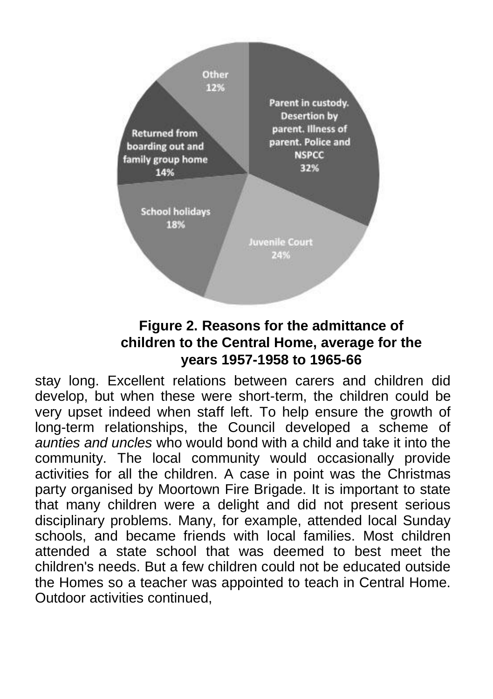

## **Figure 2. Reasons for the admittance of children to the Central Home, average for the years 1957-1958 to 1965-66**

stay long. Excellent relations between carers and children did develop, but when these were short-term, the children could be very upset indeed when staff left. To help ensure the growth of long-term relationships, the Council developed a scheme of *aunties and uncles* who would bond with a child and take it into the community. The local community would occasionally provide activities for all the children. A case in point was the Christmas party organised by Moortown Fire Brigade. It is important to state that many children were a delight and did not present serious disciplinary problems. Many, for example, attended local Sunday schools, and became friends with local families. Most children attended a state school that was deemed to best meet the children's needs. But a few children could not be educated outside the Homes so a teacher was appointed to teach in Central Home. Outdoor activities continued,